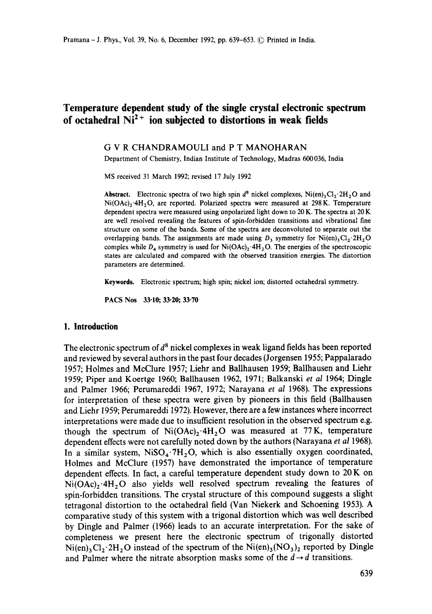# **Temperature dependent study of the single crystal electronic spectrum**  of octahedral  $N_1^2$ <sup>+</sup> ion subjected to distortions in weak fields

#### G V R CHANDRAMOULI and P T MANOHARAN

Department of Chemistry, Indian Institute of Technology, Madras 600036, India

MS received 31 March 1992; revised 17 July 1992

**Abstract.** Electronic spectra of two high spin  $d^8$  nickel complexes, Ni(en)<sub>3</sub>Cl<sub>2</sub>.2H<sub>2</sub>O and  $Ni(OAc)$ <sub>2</sub>.4H<sub>2</sub>O, are reported. Polarized spectra were measured at 298K. Temperature dependent spectra were measured using unpolarized light down to 20 K. The spectra at 20 K are well resolved revealing the features of spin-forbidden transitions and vibrational fine structure on some of the bands. Some of the spectra are deconvoluted to separate out the overlapping bands. The assignments are made using  $D_3$  symmetry for Ni(en)<sub>3</sub>Cl<sub>2</sub>.2H<sub>2</sub>O complex while  $D_4$  symmetry is used for  $Ni(OAc)_2 \cdot 4H_2O$ . The energies of the spectroscopic states are calculated and compared with the observed transition energies. The distortion parameters are determined.

Keywords. Electronic spectrum; high spin; nickel ion; distorted octahedral symmetry.

PACS Nos 33.10; 33.20; 33-70

## **1. Introduction**

The electronic spectrum of  $d^8$  nickel complexes in weak ligand fields has been reported and reviewed by several authors in the past four decades (Jorgensen 1955; Pappalarado 1957; Holmes and McClure 1957; Liehr and Ballhausen 1959; Ballhausen and Liehr 1959; Piper and Koertge 1960; BaUhausen 1962, 1971; Balkanski *et al* 1964; Dingle and Palmer 1966; Perumareddi 1967, 1972; Narayana *et al* 1968). The expressions for interpretation of these spectra were given by pioneers in this field (Ballhausen and Liehr 1959; Perumareddi 1972). However, there are a few instances where incorrect interpretations were made due to insufficient resolution in the observed spectrum e.g. though the spectrum of  $Ni(OAc)_{2} \cdot 4H_{2}O$  was measured at 77K, temperature dependent effects were not carefully noted down by the authors (Narayana *et a11968).*  In a similar system,  $NiSO_4.7H_2O$ , which is also essentially oxygen coordinated, Holmes and McClure (1957) have demonstrated the importance of temperature dependent effects. In fact, a careful temperature dependent study down to 20 K on  $Ni(OAc)_2 \cdot 4H_2O$  also yields well resolved spectrum revealing the features of spin-forbidden transitions. The crystal structure of this compound suggests a slight tetragonal distortion to the octahedral field (Van Niekerk and Schoening 1953). A comparative study of this system with a trigonal distortion which was well described by Dingle and Palmer (1966) leads to an accurate interpretation. For the sake of completeness we present here the electronic spectrum of trigonally distorted  $Ni(en)_3Cl_2$  2H<sub>2</sub>O instead of the spectrum of the  $Ni(en)_3(NO_3)_2$  reported by Dingle and Palmer where the nitrate absorption masks some of the  $d \rightarrow d$  transitions.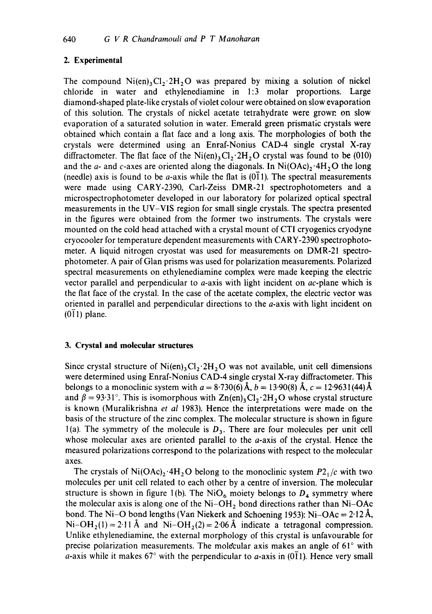# 2. **Experimental**

The compound  $Ni(en)_3Cl_2.2H_2O$  was prepared by mixing a solution of nickel chloride in water and ethylenediamine in 1:3 molar proportions. Large diamond-shaped plate-like crystals of violet colour were obtained on slow evaporation of this solution. The crystals of nickel acetate tetrahydrate were grown on slow evaporation of a saturated solution in water. Emerald green prismatic crystals were obtained which contain a flat face and a long axis. The morphologies of both the crystals were determined using an Enraf-Nonius CAD-4 single crystal X-ray diffractometer. The flat face of the  $Ni(en)_3Cl_2$ :  $2H_2O$  crystal was found to be (010) and the a- and c-axes are oriented along the diagonals. In  $Ni(OAc)_2 \cdot 4H_2O$  the long (needle) axis is found to be *a*-axis while the flat is  $(0\bar{1}1)$ . The spectral measurements were made using CARY-2390, Carl-Zeiss DMR-21 spectrophotometers and a microspectrophotometer developed in our laboratory for polarized optical spectral measurements in the UV-VIS region for small single crystals. The spectra presented in the figures were obtained from the former two instruments. The crystals were mounted on the cold head attached with a crystal mount of CTI cryogenics cryodyne cryocooler for temperature dependent measurements with CARY-2390 spectrophotometer. A liquid nitrogen cryostat was used for measurements on DMR-21 spectrophotometer. A pair of Glan prisms was used for polarization measurements. Polarized spectral measurements on ethylenediamine complex were made keeping the electric vector parallel and perpendicular to  $a$ -axis with light incident on  $ac$ -plane which is the fiat face of the crystal. In the case of the acetate complex, the electric vector was oriented in parallel and perpendicular directions to the a-axis with light incident on  $(011)$  plane.

# **3. Crystal and molecular structures**

Since crystal structure of  $Ni(en)_3Cl_2.2H_2O$  was not available, unit cell dimensions were determined using Enraf-Nonius CAD-4 single crystal X-ray diffractometer. This belongs to a monoclinic system with  $a = 8.730(6)~\text{\AA}$ ,  $b = 13.90(8)~\text{\AA}$ ,  $c = 12.9631(44)~\text{\AA}$ and  $\beta = 93.31^{\circ}$ . This is isomorphous with  $\text{Zn}(en)_{3}Cl_{2} \cdot 2H_{2}O$  whose crystal structure is known (Muralikrishna *et al* 1983). Hence the interpretations were made on the basis of the structure of the zinc complex. The molecular structure is shown in figure 1(a). The symmetry of the molecule is  $D_3$ . There are four molecules per unit cell whose molecular axes are oriented parallel to the *a*-axis of the crystal. Hence the measured polarizations correspond to the polarizations with respect to the molecular axes.

The crystals of  $Ni(OAc)<sub>2</sub>·4H<sub>2</sub>O$  belong to the monoclinic system  $P2<sub>1</sub>/c$  with two molecules per unit cell related to each other by a centre of inversion. The molecular structure is shown in figure 1(b). The NiO<sub>6</sub> moiety belongs to  $D_4$  symmetry where the molecular axis is along one of the  $Ni$ -OH<sub>2</sub> bond directions rather than Ni-OAc bond. The Ni–O bond lengths (Van Niekerk and Schoening 1953): Ni–OAc =  $2.12\text{ Å}$ ,  $Ni-OH<sub>2</sub>(1)=2.11~\text{\AA}$  and  $Ni-OH<sub>2</sub>(2)=2.06~\text{\AA}$  indicate a tetragonal compression. Unlike ethylenediamine, the external morphology of this crystal is unfavourable for precise polarization measurements. The molecular axis makes an angle of  $61^\circ$  with a-axis while it makes  $67^{\circ}$  with the perpendicular to a-axis in (011). Hence very small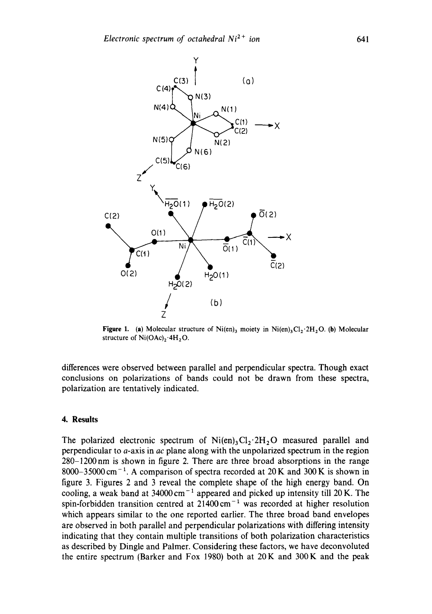

**Figure 1.** (a) Molecular structure of  $\text{Ni(en)}_3$  moiety in  $\text{Ni(en)}_3\text{Cl}_2$ . 2H, O. (b) Molecular structure of  $Ni(OAc)_2.4H_2O.$ 

differences were observed between parallel and perpendicular spectra. Though exact conclusions on polarizations of bands could not be drawn from these spectra, polarization are tentatively indicated.

# **4. Results**

The polarized electronic spectrum of  $Ni(en)_3Cl_2·2H_2O$  measured parallel and perpendicular to a-axis in *ac* plane along with the unpolarized spectrum in the region 280-1200nm is shown in figure 2. There are three broad absorptions in the range 8000-35000 cm<sup>-1</sup>. A comparison of spectra recorded at 20 K and 300 K is shown in figure 3. Figures 2 and 3 reveal the complete shape of the high energy band. On cooling, a weak band at  $34000 \text{ cm}^{-1}$  appeared and picked up intensity till 20 K. The spin-forbidden transition centred at  $21400 \text{ cm}^{-1}$  was recorded at higher resolution which appears similar to the one reported earlier. The three broad band envelopes are observed in both parallel and perpendicular polarizations with differing intensity indicating that they contain multiple transitions of both polarization characteristics as described by Dingle and Palmer. Considering these factors, we have deconvoluted the entire spectrum (Barker and Fox 1980) both at 20K and 300K and the peak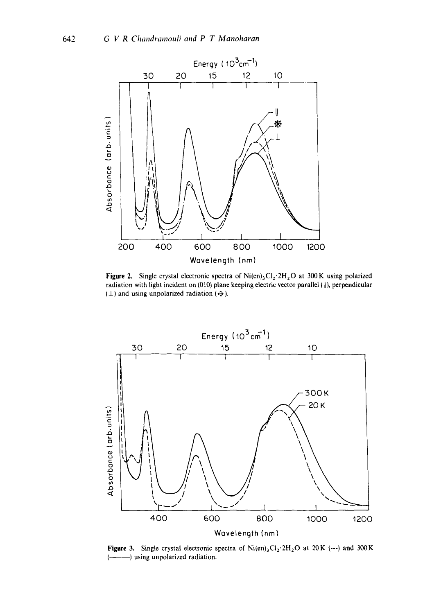

Figure 2. Single crystal electronic spectra of  $Ni(en)$ , Cl<sub>2</sub>  $2H$ , O at 300 K using polarized radiation with light incident on (010) plane keeping electric vector parallel (||), perpendicular  $(\perp)$  and using unpolarized radiation ( $\oplus$ ).



Figure 3. Single crystal electronic spectra of  $Ni(en)_3Cl_2$ :  $2H_2O$  at  $20K$  (---) and 300 K (-- ) using unpolarized radiation.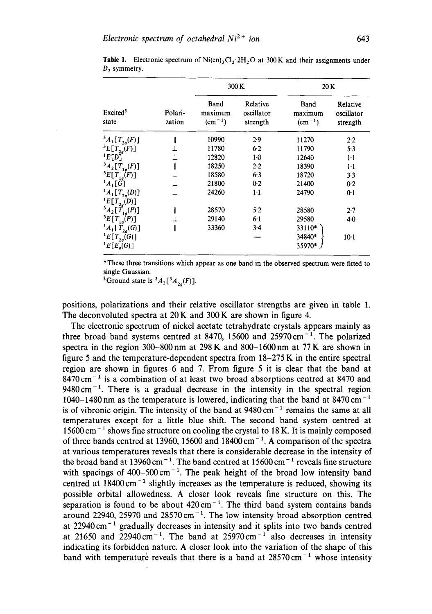|                                                  |                   |                             | 300 K                              | 20 K                               |                                    |
|--------------------------------------------------|-------------------|-----------------------------|------------------------------------|------------------------------------|------------------------------------|
| <b>Excited</b> <sup>5</sup><br>state             | Polari-<br>zation | Band<br>maximum<br>$(cm-1)$ | Relative<br>oscillator<br>strength | Band<br>maximum<br>$\rm (cm^{-1})$ | Relative<br>oscillator<br>strength |
| ${}^3A_1[T_{2a}(F)]$                             | ll                | 10990                       | 2.9                                | 11270                              | 2.2                                |
| ${}^{3}E[T_{2g}(F)]$                             |                   | 11780                       | 6.2                                | 11790                              | $5-3$                              |
| E[D]                                             |                   | 12820                       | $1-0$                              | 12640                              | $1\cdot 1$                         |
| ${}^3A_2[T_{1g}(F)]$                             | ∥                 | 18250                       | 2.2                                | 18390                              | $1-1$                              |
| ${}^{3}E[T_{1a}(F)]$                             |                   | 18580                       | 6.3                                | 18720                              | $3-3$                              |
| $^{1}A_{1}[G]$                                   |                   | 21800                       | 0.2                                | 21400                              | 0.2                                |
| ${}^{1}A_{1}[T_{2q}(D)]$                         | ⊥                 | 24260                       | $1-1$                              | 24790                              | 0 <sup>1</sup>                     |
| $E[T_{2g}(D)]$<br>$^{3}A_{2}[\tilde{T}_{1g}(P)]$ | Ï                 | 28570                       | 5.2                                | 28580                              | $2 - 7$                            |
| ${}^{3}E[T_{1g}(P)]$                             |                   | 29140                       | $6-1$                              | 29580                              | 40                                 |
| ${}^{1}A_{1}[\tilde{T}_{2a}(G)]$                 | II                | 33360                       | $3-4$                              | 33110*                             |                                    |
| ${}^{1}E[T_{2q}(G)]$<br>${}^1E[E_g(G)]$          |                   |                             |                                    | 34840*<br>35970*                   | $10-1$                             |

**Table 1.** Electronic spectrum of Ni(en)<sub>3</sub>Cl<sub>2</sub>.2H<sub>2</sub>O at 300K and their assignments under  $D_3$  symmetry.

\*These three transitions which appear as one band in the observed spectrum were fitted to single Gaussian.

<sup>5</sup> Ground state is  ${}^3A_2[^3A_{2a}(F)]$ .

positions, polarizations and their relative oscillator strengths are given in table 1. The deconvoluted spectra at 20 K and 300 K are shown in figure 4.

The electronic spectrum of nickel acetate tetrahydrate crystals appears mainly as three broad band systems centred at 8470, 15600 and  $25970 \text{ cm}^{-1}$ . The polarized spectra in the region 300–800 nm at 298 K and 800–1600 nm at 77 K are shown in figure 5 and the temperature-dependent spectra from 18-275 K in the entire spectral region are shown in figures 6 and 7. From figure 5 it is clear that the band at  $8470 \text{ cm}^{-1}$  is a combination of at least two broad absorptions centred at 8470 and  $9480 \text{ cm}^{-1}$ . There is a gradual decrease in the intensity in the spectral region 1040–1480 nm as the temperature is lowered, indicating that the band at  $8470 \text{ cm}^{-1}$ is of vibronic origin. The intensity of the band at  $9480 \text{ cm}^{-1}$  remains the same at all temperatures except for a little blue shift. The second band system centred at 15600 cm<sup>-1</sup> shows fine structure on cooling the crystal to 18 K. It is mainly composed of three bands centred at 13960, 15600 and 18400 cm<sup>-1</sup>. A comparison of the spectra at various temperatures reveals that there is considerable decrease in the intensity of the broad band at 13960 cm<sup>-1</sup>. The band centred at 15600 cm<sup>-1</sup> reveals fine structure with spacings of  $400-500 \text{ cm}^{-1}$ . The peak height of the broad low intensity band centred at  $18400 \text{ cm}^{-1}$  slightly increases as the temperature is reduced, showing its possible orbital allowedness. A closer look reveals fine structure on this. The separation is found to be about  $420 \text{ cm}^{-1}$ . The third band system contains bands around 22940, 25970 and  $28570 \text{ cm}^{-1}$ . The low intensity broad absorption centred at  $22940 \text{ cm}^{-1}$  gradually decreases in intensity and it splits into two bands centred at 21650 and 22940 cm<sup>-1</sup>. The band at 25970 cm<sup>-1</sup> also decreases in intensity indicating its forbidden nature. A closer look into the variation of the shape of this band with temperature reveals that there is a band at  $28570 \text{ cm}^{-1}$  whose intensity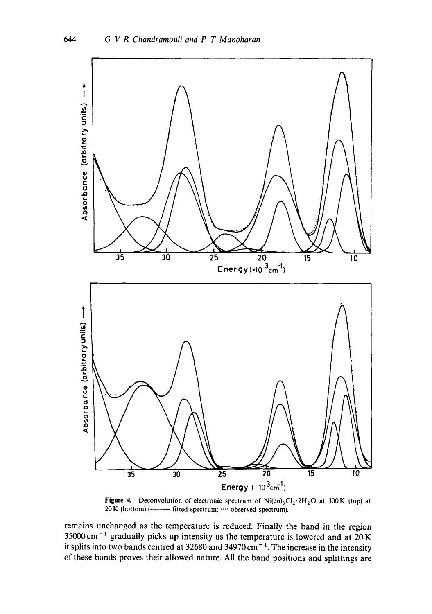

Figure 4. Deconvolution of electronic spectrum of  $Ni(en)_3Cl_2·2H_2O$  at 300K (top) at 20 K (bottom) (---------- fitted spectrum; .... observed spectrum).

remains unchanged as the temperature is reduced. Finally the band in the region  $35000 \text{ cm}^{-1}$  gradually picks up intensity as the temperature is lowered and at 20 K it splits into two bands centred at  $32680$  and  $34970 \text{ cm}^{-1}$ . The increase in the intensity of these bands proves their allowed nature. All the band positions and splittings are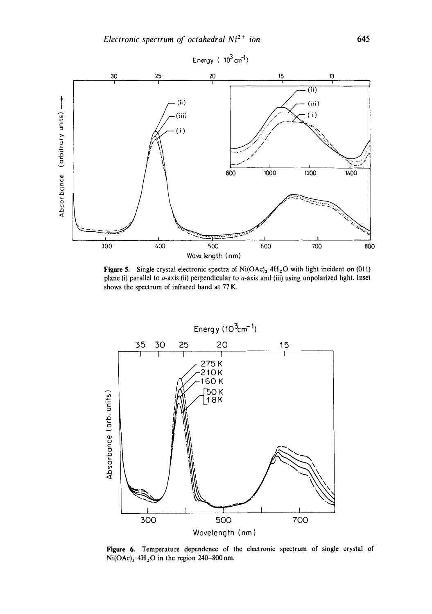

Figure 5. Single crystal electronic spectra of Ni(OAc)<sub>2</sub>.4H<sub>2</sub>O with light incident on (011) plane (i) parallel to  $a$ -axis (ii) perpendicular to  $a$ -axis and (iii) using unpolarized light. Inset shows the spectrum of infrared band at 77 K.



Figure 6. Temperature dependence of the electronic spectrum of single crystal of  $Ni(OAc)<sub>2</sub>·4H<sub>2</sub>O$  in the region 240-800 nm.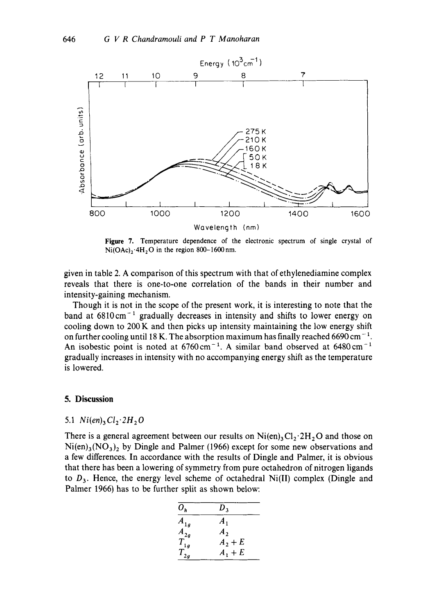

Figure 7. Temperature dependence of the electronic spectrum of single crystal of  $Ni(OAc)<sub>2</sub>·4H<sub>2</sub>O$  in the region 800-1600 nm.

given in table 2. A comparison of this spectrum with that of ethylenediamine complex reveals that there is one-to-one correlation of the bands in their number and intensity-gaining mechanism.

Though it is not in the scope of the present work, it is interesting to note that the band at  $6810 \text{ cm}^{-1}$  gradually decreases in intensity and shifts to lower energy on cooling down to  $200 \text{ K}$  and then picks up intensity maintaining the low energy shift on further cooling until 18 K. The absorption maximum has finally reached 6690 cm<sup>-1</sup>. An isobestic point is noted at  $6760 \text{ cm}^{-1}$ . A similar band observed at  $6480 \text{ cm}^{-1}$ gradually increases in intensity with no accompanying energy shift as the temperature is lowered.

## **5. Discussion**

# 5.1  $Ni(en)_3Cl_2$   $2H_2O$

There is a general agreement between our results on  $Ni(en)$ ,  $Cl_2$  :  $2H_2O$  and those on  $Ni(en)_3(NO_3)_2$  by Dingle and Palmer (1966) except for some new observations and a few differences. In accordance with the results of Dingle and Palmer, it is obvious that there has been a lowering of symmetry from pure octahedron of nitrogen ligands to  $D_3$ . Hence, the energy level scheme of octahedral Ni(II) complex (Dingle and Palmer 1966) has to be further split as shown below:

| $O_h$    | $D_{3}$            |
|----------|--------------------|
| $A_{1g}$ | $\boldsymbol{A}_1$ |
| $A_{2g}$ | A <sub>2</sub>     |
| $T_{1g}$ | $A_2 + E$          |
| $T_{2g}$ | $A_1+E$            |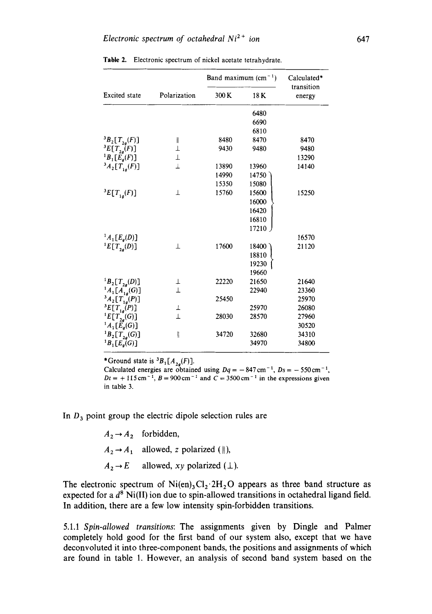|                                |              |       | Band maximum $(cm-1)$ | Calculated*          |
|--------------------------------|--------------|-------|-----------------------|----------------------|
| <b>Excited</b> state           | Polarization | 300 K | 18 K                  | transition<br>energy |
|                                |              |       | 6480                  |                      |
|                                |              |       | 6690                  |                      |
|                                |              |       | 6810                  |                      |
| ${}^3B_2[T_{2g}(F)]$           | I            | 8480  | 8470                  | 8470                 |
| ${}^3E[T_{2g}^{\bullet}(F)]$   | Τ            | 9430  | 9480                  | 9480                 |
| ${}^{1}B_{1}[E_{q}(F)]$        | Τ            |       |                       | 13290                |
| ${}^3A_2[T_{1q}(F)]$           | $\perp$      | 13890 | 13960                 | 14140                |
|                                |              | 14990 | 14750                 |                      |
|                                |              | 15350 | 15080                 |                      |
| ${}^{3}E[T_{1q}(F)]$           | 丄            | 15760 | 15600                 | 15250                |
|                                |              |       | 16000                 |                      |
|                                |              |       | 16420                 |                      |
|                                |              |       | 16810                 |                      |
|                                |              |       | 17210                 |                      |
| ${}^{1}A_{1}[E_{q}(D)]$        |              |       |                       | 16570                |
| ${}^{1}E[T_{2q}(D)]$           | Τ            | 17600 | 18400                 | 21120                |
|                                |              |       | 18810                 |                      |
|                                |              |       | 19230                 |                      |
|                                |              |       | 19660                 |                      |
| ${}^1B_2[T_{2g}(D)]$           | Ŧ            | 22220 | 21650                 | 21640                |
| ${}^1A_1[A_{1g}^{\bullet}(G)]$ | $\perp$      |       | 22940                 | 23360                |
| $^{3}A_{2}[T_{1g}^{(P)}]$      |              | 25450 |                       | 25970                |
| ${}^3E[T_{1g}(P)]$             | Ŧ            |       | 25970                 | 26080                |
| ${}^{1}E[T_{2g}(G)]$           | $\perp$      | 28030 | 28570                 | 27960                |
| ${}^1A_1[E_g(G)]$              |              |       |                       | 30520                |
| ${}^{1}B_{2}[T_{2q}(G)]$       | I            | 34720 | 32680                 | 34310                |
| ${}^{1}B_{1}[E_{q}(G)]$        |              |       | 34970                 | 34800                |
|                                |              |       |                       |                      |

Table 2. Electronic spectrum of nickel acetate tetrahydrate.

\*Ground state is  ${}^3B_1[A_{2a}(F)]$ .

Calculated energies are obtained using  $Dq = -847 \text{ cm}^{-1}$ ,  $Ds = -550 \text{ cm}^{-1}$ ,  $Dt = +115$  cm<sup>-1</sup>,  $B = 900$  cm<sup>-1</sup> and  $C = 3500$  cm<sup>-1</sup> in the expressions given in table 3.

In  $D_3$  point group the electric dipole selection rules are

 $A_2 \rightarrow A_2$  forbidden,  $A_2 \rightarrow A_1$  allowed, z polarized (||),  $A_2 \rightarrow E$ allowed,  $xy$  polarized  $(1)$ .

The electronic spectrum of  $Ni(en)_3Cl_2$ :  $2H_2O$  appears as three band structure as expected for a  $d^8$  Ni(II) ion due to spin-allowed transitions in octahedral ligand field. In addition, there are a few low intensity spin-forbidden transitions.

5.1.1 *Spin-allowed transitions:* The assignments given by Dingle and Palmer completely hold good for the first band of our system also, except that we have deconvoluted it into three-component bands, the positions and assignments of which are found in table 1. However, an analysis of second band system based on the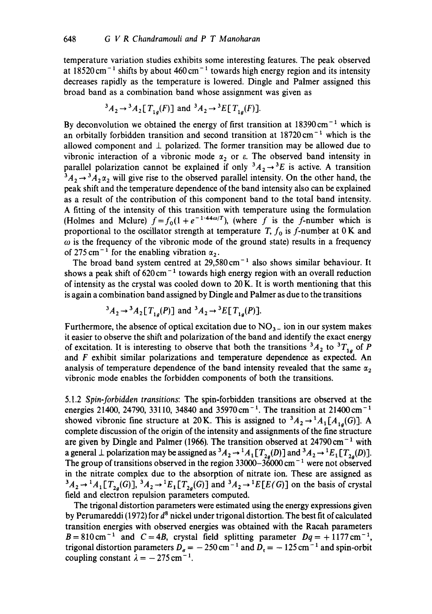temperature variation studies exhibits some interesting features. The peak observed at 18520 cm<sup>-1</sup> shifts by about 460 cm<sup>-1</sup> towards high energy region and its intensity decreases rapidly as the temperature is lowered. Dingle and Palmer assigned this broad band as a combination band whose assignment was given as

$$
{}^{3}A_{2} \rightarrow {}^{3}A_{2} [T_{1a}(F)] \text{ and } {}^{3}A_{2} \rightarrow {}^{3}E [T_{1a}(F)].
$$

By deconvolution we obtained the energy of first transition at  $18390 \text{ cm}^{-1}$  which is an orbitally forbidden transition and second transition at  $18720 \text{ cm}^{-1}$  which is the allowed component and  $\perp$  polarized. The former transition may be allowed due to vibronic interaction of a vibronic mode  $\alpha_2$  or  $\varepsilon$ . The observed band intensity in parallel polarization cannot be explained if only  ${}^3A_2 \rightarrow {}^3E$  is active. A transition  ${}^3A_2 \rightarrow {}^3A_2\alpha_2$  will give rise to the observed parallel intensity. On the other hand, the peak shift and the temperature dependence of the band intensity also can be explained as a result of the contribution of this component band to the total band intensity. A fitting of the intensity of this transition with temperature using the formulation (Holmes and Mclure)  $f = f_0(1 + e^{-1/44\omega/T})$ , (where f is the f-number which is proportional to the oscillator strength at temperature T,  $f_0$  is f-number at 0 K and  $\omega$  is the frequency of the vibronic mode of the ground state) results in a frequency of 275 cm<sup>-1</sup> for the enabling vibration  $\alpha_2$ .

The broad band system centred at  $29,580 \text{ cm}^{-1}$  also shows similar behaviour. It shows a peak shift of  $620 \text{ cm}^{-1}$  towards high energy region with an overall reduction of intensity as the crystal was cooled down to 20 K. It is worth mentioning that this is again a combination band assigned by Dingle and Palmer as due to the transitions

$$
{}^{3}A_{2} \rightarrow {}^{3}A_{2}[T_{1a}(P)] \text{ and } {}^{3}A_{2} \rightarrow {}^{3}E[T_{1a}(P)].
$$

Furthermore, the absence of optical excitation due to  $NO<sub>3</sub>$  ion in our system makes it easier to observe the shift and polarization of the band and identify the exact energy of excitation. It is interesting to observe that both the transitions  ${}^3A_2$  to  ${}^3T_{1a}$  of P and F exhibit similar polarizations and temperature dependence as expected. An analysis of temperature dependence of the band intensity revealed that the same  $\alpha$ , vibronic mode enables the forbidden components of both the transitions.

5.1.2 *Spin-forbidden transitions:* The spin-forbidden transitions are observed at the energies 21400, 24790, 33110, 34840 and 35970 cm<sup>-1</sup>. The transition at 21400 cm<sup>-1</sup> showed vibronic fine structure at 20 K. This is assigned to  ${}^3A_2 \rightarrow {}^1A_1[A_{1a}(G)]$ . A complete discussion of the origin of the intensity and assignments of the fine structure are given by Dingle and Palmer (1966). The transition observed at  $24790 \text{ cm}^{-1}$  with a general  $\perp$  polarization may be assigned as  ${}^3A_2 \rightarrow {}^1A_1[T_{2g}(D)]$  and  ${}^3A_2 \rightarrow {}^1E_1[T_{2g}(D)]$ . The group of transitions observed in the region  $33000-36000$  cm<sup>-1</sup> were not observed in the nitrate complex due to the absorption of nitrate ion. These are assigned as  ${}^3A_2 \rightarrow {}^1A_1[T_{2q}(G)]$ ,  ${}^3A_2 \rightarrow {}^1E_1[T_{2q}(G)]$  and  ${}^3A_2 \rightarrow {}^1E[E(G)]$  on the basis of crystal field and electron repulsion parameters computed.

The trigonal distortion parameters were estimated using the energy expressions given by Perumareddi (1972) for  $d^8$  nickel under trigonal distortion. The best fit of calculated transition energies with observed energies was obtained with the Racah parameters  $B=810 \text{ cm}^{-1}$  and  $C=4B$ , crystal field splitting parameter  $Dq=+1177 \text{ cm}^{-1}$ , trigonal distortion parameters  $D_{\sigma} = -250 \text{ cm}^{-1}$  and  $D_{\tau} = -125 \text{ cm}^{-1}$  and spin-orbit coupling constant  $\lambda = -275 \text{ cm}^{-1}$ .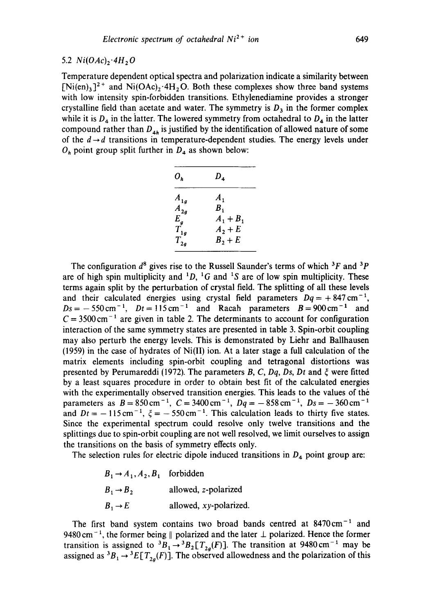#### 5.2  $Ni(OAc)_2$  <sup>4</sup>H<sub>2</sub>O

Temperature dependent optical spectra and polarization indicate a similarity between  $[Ni(en)_3]^2$ <sup>+</sup> and Ni(OAc)<sub>2</sub>.4H<sub>2</sub>O. Both these complexes show three band systems with low intensity spin-forbidden transitions. Ethylenediamine provides a stronger crystalline field than acetate and water. The symmetry is  $D_3$  in the former complex while it is  $D_4$  in the latter. The lowered symmetry from octahedral to  $D_4$  in the latter compound rather than  $D_{4h}$  is justified by the identification of allowed nature of some of the  $d \rightarrow d$  transitions in temperature-dependent studies. The energy levels under  $O<sub>h</sub>$  point group split further in  $D<sub>4</sub>$  as shown below:

| $O_h$    | $D_{4}$     |
|----------|-------------|
| $A_{1g}$ | $A_{1}$     |
| $A_{2g}$ | В.          |
| $E_a$    | $A_1 + B_1$ |
| $T_{1g}$ | $A_2 + E$   |
| $T_{2g}$ | $B_2 + E$   |

The configuration  $d^8$  gives rise to the Russell Saunder's terms of which  ${}^{3}F$  and  ${}^{3}P$ are of high spin multiplicity and  ${}^{1}D$ ,  ${}^{1}G$  and  ${}^{1}S$  are of low spin multiplicity. These terms again split by the perturbation of crystal field. The splitting of all these levels and their calculated energies using crystal field parameters  $Dq = +847 \text{ cm}^{-1}$ ,  $Ds = -550 \text{ cm}^{-1}$ ,  $Dt = 115 \text{ cm}^{-1}$  and Racah parameters  $B = 900 \text{ cm}^{-1}$  and  $C = 3500 \text{ cm}^{-1}$  are given in table 2. The determinants to account for configuration interaction of the same symmetry states are presented in table 3. Spin-orbit coupling may also perturb the energy levels. This is demonstrated by Liehr and Ballhausen (1959) in the case of hydrates of Ni(II) ion. At a later stage a full calculation of the matrix elements including spin-orbit coupling and tetragonal distortions was presented by Perumareddi (1972). The parameters  $B$ ,  $C$ ,  $Dq$ ,  $Ds$ ,  $Dt$  and  $\zeta$  were fitted by a least squares procedure in order to obtain best fit of the calculated energies with the experimentally observed transition energies. This leads to the values of the parameters as  $B = 850 \text{ cm}^{-1}$ ,  $C = 3400 \text{ cm}^{-1}$ ,  $Dq = -858 \text{ cm}^{-1}$ ,  $Ds = -360 \text{ cm}^{-1}$ and  $Dt = -115 \text{ cm}^{-1}$ ,  $\zeta = -550 \text{ cm}^{-1}$ . This calculation leads to thirty five states. Since the experimental spectrum could resolve only twelve transitions and the splittings due to spin-orbit coupling are not well resolved, we limit ourselves to assign the transitions on the basis of symmetry effects only.

The selection rules for electric dipole induced transitions in  $D_4$  point group are:

| $B_1 \rightarrow A_1, A_2, B_1$ forbidden |                        |
|-------------------------------------------|------------------------|
| $B_1 \rightarrow B_2$                     | allowed, z-polarized   |
| $B_1 \rightarrow E$                       | allowed, xy-polarized. |

The first band system contains two broad bands centred at  $8470 \text{ cm}^{-1}$  and 9480 cm<sup>-1</sup>, the former being  $\parallel$  polarized and the later  $\perp$  polarized. Hence the former transition is assigned to  ${}^3B_1 \rightarrow {}^3B_2[T_{2a}(F)]$ . The transition at 9480 cm<sup>-1</sup> may be assigned as  ${}^{3}B_{1} \rightarrow {}^{3}E[T_{2g}(F)]$ . The observed allowedness and the polarization of this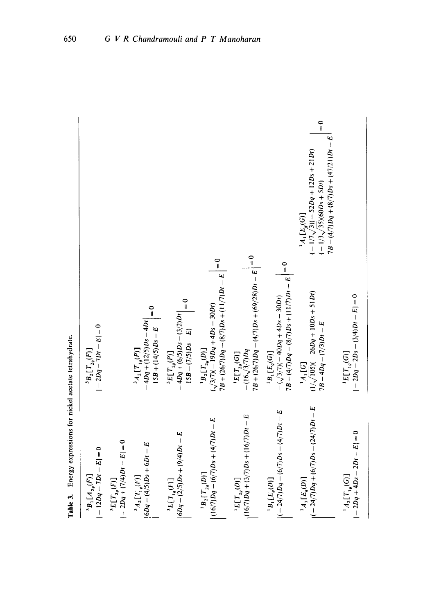| $-12Dq - 7Dt - E = 0$<br>${}^{3}B_{1}[A_{2a}(F)]$              | $ -2Dq - 7Dt - E  = 0$<br>${}^{3}B_{2}[T_{2a}(F)]$                                                                          |                                                                                                                                                          |
|----------------------------------------------------------------|-----------------------------------------------------------------------------------------------------------------------------|----------------------------------------------------------------------------------------------------------------------------------------------------------|
| $-2Dq + (7/4)Dr - E$<br>${}^3E[T_{2a}(F)]$                     |                                                                                                                             |                                                                                                                                                          |
| $ 6Dq - (4/5)Ds + 6Dt - E$<br>${}^{3}A_{2}[T_{1,a}(F)]$        | $\frac{0}{1}$<br>$-4Dq + (12/5)Ds - 4Di$<br>$15B + (14/5)Ds - E$<br>${}^{3}A_{2}[T,{}_{a}(P)]$                              |                                                                                                                                                          |
| $ 6Dq - (2/5)Ds + (9/4)Dt - E$<br>${}^3E[T_{1q}(F)]$           | $= 0$<br>$-4Dq + (6/5)Ds - (3/2)Dt$<br>$15B - (7/5)Ds - E$<br>$E[T_{1g}(P)]$                                                |                                                                                                                                                          |
| $(16/7)Dq - (6/7)Ds + (4/7)Dt - E$<br>${}^{1}B_{2}[T_{2a}(D)]$ | $\frac{1}{2}$<br>$7B + (26/7)Dq - (8/7)Ds + (11/7)Dt - E$<br>$(\sqrt{3/7})(-19Dq + 4Ds - 30Di)$<br>${}^{1}B_{2}[T_{2a}(D)]$ |                                                                                                                                                          |
| $(16/7)Dq + (3/7)Ds + (16/7)Dt - E$<br>$E[T_{2q}(D)]$          | $7B + (26/7)Dq - (4/7)Ds + (69/28)Dt - E$ = 0<br>$-(16\sqrt{3}/7)Dq$<br>$E[T_{2g}(G)]$                                      |                                                                                                                                                          |
| $(-24/7)Dq - (6/7)Ds - (4/7)Dt - E$<br>$B_1[E_a(D)]$           | $B =  A /2Dq - (8/7)Ds + (11/7)Dt - E  = 0$<br>$-(\sqrt{3}/7)(-40Dq + 4Ds - 30Dt)$<br>$B_1[E_g(G)]$                         |                                                                                                                                                          |
| $(1-24/7)Dq + (6/7)Ds - (24/7)Dt - E$<br>$A_1[E_a(D)]$         | $(1/\sqrt{105})(-26Dq + 10Ds + 51Dt)$<br>$7B - 4Dq - (7/3)Dt - E$<br>14, [G]                                                | $\frac{1}{\pi}$<br>$7B - (4/7)Dq + (8/7)Ds + (47/21)Dt - E$<br>$-1/7\sqrt{3}$ $( -52Dq + 12Ds + 21Dt)$<br>$(-1/3\sqrt{35})(60Ds + 5Di)$<br>$A_1[E_a(G)]$ |
| $ -2Dq + 4Ds - 2Di - E  = 0$<br>$[A_2[T]_a(G)]$                | $-2Dq - 2Ds - (3/4)Dt - E = 0$<br>$^1E[T_{1g}(G)]$                                                                          |                                                                                                                                                          |

Table 3. Energy expressions for nickel acetate tetrahydrate. Table 3. Energy expressions for nickel acetate tetrahydrate.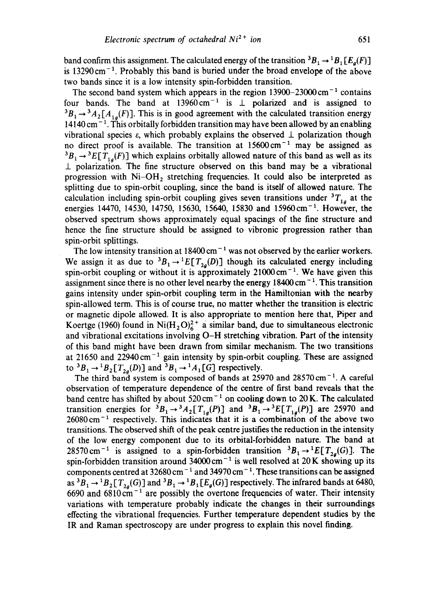band confirm this assignment. The calculated energy of the transition  ${}^3B_1 \rightarrow {}^1B_1[E_a(F)]$ is  $13290 \text{ cm}^{-1}$ . Probably this band is buried under the broad envelope of the above two bands since it is a low intensity spin-forbidden transition.

The second band system which appears in the region  $13900-23000$  cm<sup>-1</sup> contains four bands. The band at  $13960 \text{ cm}^{-1}$  is  $\perp$  polarized and is assigned to  ${}^{3}B_{1} \rightarrow {}^{3}A_{2}[A_{1}](F)$ . This is in good agreement with the calculated transition energy  $14140 \text{ cm}^{-1}$ . This orbitally forbidden transition may have been allowed by an enabling vibrational species  $\varepsilon$ , which probably explains the observed  $\perp$  polarization though no direct proof is available. The transition at  $15600 \text{ cm}^{-1}$  may be assigned as  ${}^3B_1 \rightarrow {}^3E[T_{1a}(F)]$  which explains orbitally allowed nature of this band as well as its  $\perp$  polarization. The fine structure observed on this band may be a vibrational progression with  $Ni-OH<sub>2</sub>$  stretching frequencies. It could also be interpreted as splitting due to spin-orbit coupling, since the band is itself of allowed nature. The calculation including spin-orbit coupling gives seven transitions under  ${}^{3}T_{1g}$  at the energies 14470, 14530, 14750, 15630, 15640, 15830 and 15960 cm<sup>-1</sup>. However, the observed spectrum shows approximately equal spacings of the fine structure and hence the fine structure should be assigned to vibronic progression rather than spin-orbit splittings.

The low intensity transition at  $18400 \text{ cm}^{-1}$  was not observed by the earlier workers. We assign it as due to  ${}^3B_1 \rightarrow {}^1E[T_{2g}(D)]$  though its calculated energy including spin-orbit coupling or without it is approximately  $21000 \text{ cm}^{-1}$ . We have given this assignment since there is no other level nearby the energy  $18400 \text{ cm}^{-1}$ . This transition gains intensity under spin-orbit coupling term in the Hamilt0nian with the nearby spin-allowed term. This is of course true, no matter whether the transition is electric or magnetic dipole allowed. It is also appropriate to mention here that, Piper and Koertge (1960) found in Ni $(H_2O)<sub>6</sub><sup>2+</sup>$  a similar band, due to simultaneous electronic and vibrational excitations involving O-H stretching vibration. Part of the intensity of this band might have been drawn from similar mechanism. The two transitions at 21650 and 22940 $cm^{-1}$  gain intensity by spin-orbit coupling. These are assigned to  ${}^3B_1 \rightarrow {}^1B_2[T_{2a}(D)]$  and  ${}^3B_1 \rightarrow {}^1A_1[G]$  respectively.

The third band system is composed of bands at  $25970$  and  $28570 \text{ cm}^{-1}$ . A careful observation of temperature dependence of the centre of first band reveals that the band centre has shifted by about  $520 \text{ cm}^{-1}$  on cooling down to 20 K. The calculated transition energies for  ${}^3B_1 \rightarrow {}^3A_2[T_{1g}(P)]$  and  ${}^3B_1 \rightarrow {}^3E[T_{1g}(P)]$  are 25970 and  $26080 \text{ cm}^{-1}$  respectively. This indicates that it is a combination of the above two transitions. The observed shift of the peak centre justifies the reduction in the intensity of the low energy component due to its orbital-forbidden nature. The band at 28570 cm<sup>-1</sup> is assigned to a spin-forbidden transition  ${}^3B_1 \rightarrow {}^1E[T_{2a}(G)]$ . The spin-forbidden transition around  $34000 \text{ cm}^{-1}$  is well resolved at 20 K showing up its components centred at  $32680 \text{ cm}^{-1}$  and  $34970 \text{ cm}^{-1}$ . These transitions can be assigned as  ${}^3B_1 \rightarrow {}^1B_2$  [ $T_{2g}(G)$ ] and  ${}^3B_1 \rightarrow {}^1B_1$  [ $E_g(G)$ ] respectively. The infrared bands at 6480, 6690 and  $6810 \text{ cm}^{-1}$  are possibly the overtone frequencies of water. Their intensity variations with temperature probably indicate the changes in their surroundings effecting the vibrational frequencies. Further temperature dependent studies by the IR and Raman spectroscopy are under progress to explain this novel finding.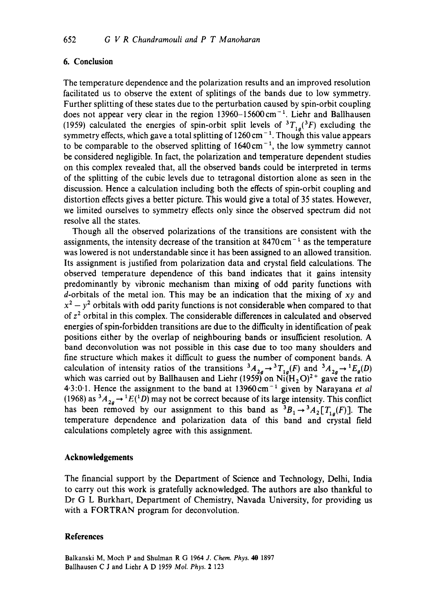# 6. Conclusion

The temperature dependence and the polarization results and an improved resolution facilitated us to observe the extent of splitings of the bands due to low symmetry. Further splitting of these states due to the perturbation caused by spin-orbit coupling does not appear very clear in the region  $13960-15600$  cm<sup>-1</sup>. Liehr and Ballhausen (1959) calculated the energies of spin-orbit split levels of  ${}^{3}T_{1a}({}^{3}F)$  excluding the symmetry effects, which gave a total splitting of  $1260 \text{ cm}^{-1}$ . Though this value appears to be comparable to the observed splitting of  $1640 \text{ cm}^{-1}$ , the low symmetry cannot be considered negligible. In fact, the polarization and temperature dependent studies on this complex revealed that, all the observed bands could be interpreted in terms of the splitting of the cubic levels due to tetragonal distortion alone as seen in the discussion. Hence a calculation including both the effects of spin-orbit coupling and distortion effects gives a better picture. This would give a total of 35 states. However, we limited ourselves to symmetry effects only since the observed spectrum did not resolve all the states.

Though all the observed polarizations of the transitions are consistent with the assignments, the intensity decrease of the transition at  $8470 \text{ cm}^{-1}$  as the temperature was lowered is not understandable since it has been assigned to an allowed transition. Its assignment is justified from polarization data and crystal field calculations. The observed temperature dependence of this band indicates that it gains intensity predominantly by vibronic mechanism than mixing of odd parity functions with d-orbitals of the metal ion. This may be an indication that the mixing of *xy* and  $x^2 - y^2$  orbitals with odd parity functions is not considerable when compared to that of  $z<sup>2</sup>$  orbital in this complex. The considerable differences in calculated and observed energies of spin-forbidden transitions are due to the difficulty in identification of peak positions either by the overlap of neighbouring bands or insufficient resolution. A band deconvolution was not possible in this case due to too many shoulders and fine structure which makes it difficult to guess the number of component bands. A calculation of intensity ratios of the transitions  ${}^3A_{2a} \rightarrow {}^3T_{1a}(F)$  and  ${}^3A_{2a} \rightarrow {}^1E_a(D)$ which was carried out by Ballhausen and Liehr (1959) on  $Ni(H<sub>2</sub>O)<sup>2+</sup>$  gave the ratio 4.3:0.1. Hence the assignment to the band at 13960 cm<sup>-1</sup> given by Narayana *et al* (1968) as  ${}^3A_{2a} \rightarrow {}^1E({}^1D)$  may not be correct because of its large intensity. This conflict has been removed by our assignment to this band as  ${}^{3}B_1 \rightarrow {}^{3}A_2[T_{1a}(F)]$ . The temperature dependence and polarization data of this band and crystal field calculations completely agree with this assignment.

#### **Acknowledgements**

The financial support by the Department of Science and Technology, Delhi, India to carry out this work is gratefully acknowledged. The authors are also thankful to Dr G L Burkhart, Department of Chemistry, Navada University, for providing us with a FORTRAN program for deconvolution.

#### **References**

Balkanski M, Moch P and Shulman R G 1964 *J. Chem. Phys. 40* 1897 Ballhausen C J and Liehr A D 1959 *Mol. Phys.* 2 123